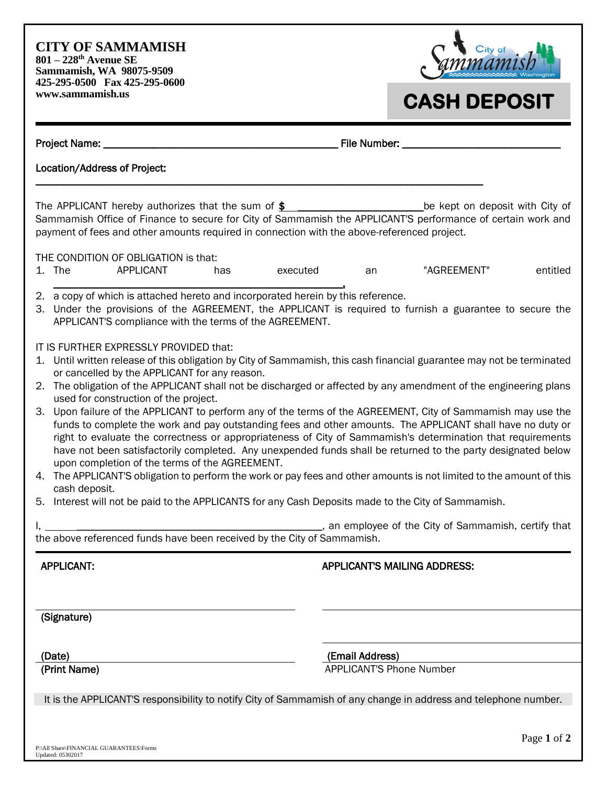**CITY OF SAMMAMISH 801 – 228th Avenue SE Sammamish, WA 98075-9509 425-295-0500 Fax 425-295-0600 www.sammamish.us**



## **CASH DEPOSIT**

| Project Name: <b>Names</b>                                                                                                                                                                                                                                                                                                                                                                                                                                                                                                                                                                                                                                                                                                                                                                                                                                                                                                                                                                                                                                                                                                                   |          | File Number: ___________ |                                                    |             |  |
|----------------------------------------------------------------------------------------------------------------------------------------------------------------------------------------------------------------------------------------------------------------------------------------------------------------------------------------------------------------------------------------------------------------------------------------------------------------------------------------------------------------------------------------------------------------------------------------------------------------------------------------------------------------------------------------------------------------------------------------------------------------------------------------------------------------------------------------------------------------------------------------------------------------------------------------------------------------------------------------------------------------------------------------------------------------------------------------------------------------------------------------------|----------|--------------------------|----------------------------------------------------|-------------|--|
| Location/Address of Project:                                                                                                                                                                                                                                                                                                                                                                                                                                                                                                                                                                                                                                                                                                                                                                                                                                                                                                                                                                                                                                                                                                                 |          |                          |                                                    |             |  |
| The APPLICANT hereby authorizes that the sum of $$$<br>Sammamish Office of Finance to secure for City of Sammamish the APPLICANT'S performance of certain work and<br>payment of fees and other amounts required in connection with the above-referenced project.                                                                                                                                                                                                                                                                                                                                                                                                                                                                                                                                                                                                                                                                                                                                                                                                                                                                            |          |                          | be kept on deposit with City of                    |             |  |
| THE CONDITION OF OBLIGATION is that:<br>1. The<br>APPLICANT<br>has                                                                                                                                                                                                                                                                                                                                                                                                                                                                                                                                                                                                                                                                                                                                                                                                                                                                                                                                                                                                                                                                           | executed | an                       | "AGREEMENT"                                        | entitled    |  |
| 2. a copy of which is attached hereto and incorporated herein by this reference.<br>3. Under the provisions of the AGREEMENT, the APPLICANT is required to furnish a guarantee to secure the<br>APPLICANT'S compliance with the terms of the AGREEMENT.                                                                                                                                                                                                                                                                                                                                                                                                                                                                                                                                                                                                                                                                                                                                                                                                                                                                                      |          |                          |                                                    |             |  |
| IT IS FURTHER EXPRESSLY PROVIDED that:<br>1. Until written release of this obligation by City of Sammamish, this cash financial guarantee may not be terminated<br>or cancelled by the APPLICANT for any reason.<br>2. The obligation of the APPLICANT shall not be discharged or affected by any amendment of the engineering plans<br>used for construction of the project.<br>3. Upon failure of the APPLICANT to perform any of the terms of the AGREEMENT, City of Sammamish may use the<br>funds to complete the work and pay outstanding fees and other amounts. The APPLICANT shall have no duty or<br>right to evaluate the correctness or appropriateness of City of Sammamish's determination that requirements<br>have not been satisfactorily completed. Any unexpended funds shall be returned to the party designated below<br>upon completion of the terms of the AGREEMENT.<br>4. The APPLICANT'S obligation to perform the work or pay fees and other amounts is not limited to the amount of this<br>cash deposit.<br>5. Interest will not be paid to the APPLICANTS for any Cash Deposits made to the City of Sammamish. |          |                          |                                                    |             |  |
| the above referenced funds have been received by the City of Sammamish.                                                                                                                                                                                                                                                                                                                                                                                                                                                                                                                                                                                                                                                                                                                                                                                                                                                                                                                                                                                                                                                                      |          |                          | an employee of the City of Sammamish, certify that |             |  |
| <b>APPLICANT:</b>                                                                                                                                                                                                                                                                                                                                                                                                                                                                                                                                                                                                                                                                                                                                                                                                                                                                                                                                                                                                                                                                                                                            |          |                          | <b>APPLICANT'S MAILING ADDRESS:</b>                |             |  |
| (Signature)                                                                                                                                                                                                                                                                                                                                                                                                                                                                                                                                                                                                                                                                                                                                                                                                                                                                                                                                                                                                                                                                                                                                  |          |                          |                                                    |             |  |
| (Date)                                                                                                                                                                                                                                                                                                                                                                                                                                                                                                                                                                                                                                                                                                                                                                                                                                                                                                                                                                                                                                                                                                                                       |          | (Email Address)          |                                                    |             |  |
| (Print Name)<br>It is the APPLICANT'S responsibility to notify City of Sammamish of any change in address and telephone number.                                                                                                                                                                                                                                                                                                                                                                                                                                                                                                                                                                                                                                                                                                                                                                                                                                                                                                                                                                                                              |          |                          | <b>APPLICANT'S Phone Number</b>                    |             |  |
| P:\All Share\FINANCIAL GUARANTEES\Forms<br>Updated: 05302017                                                                                                                                                                                                                                                                                                                                                                                                                                                                                                                                                                                                                                                                                                                                                                                                                                                                                                                                                                                                                                                                                 |          |                          |                                                    | Page 1 of 2 |  |